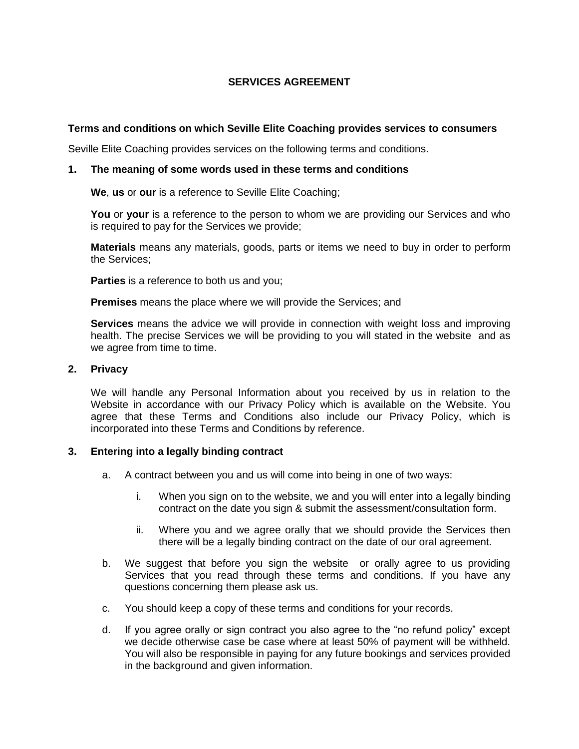## **SERVICES AGREEMENT**

## **Terms and conditions on which Seville Elite Coaching provides services to consumers**

Seville Elite Coaching provides services on the following terms and conditions.

#### **1. The meaning of some words used in these terms and conditions**

**We**, **us** or **our** is a reference to Seville Elite Coaching;

**You** or **your** is a reference to the person to whom we are providing our Services and who is required to pay for the Services we provide;

**Materials** means any materials, goods, parts or items we need to buy in order to perform the Services;

**Parties** is a reference to both us and you;

**Premises** means the place where we will provide the Services; and

**Services** means the advice we will provide in connection with weight loss and improving health. The precise Services we will be providing to you will stated in the website and as we agree from time to time.

#### **2. Privacy**

We will handle any Personal Information about you received by us in relation to the Website in accordance with our Privacy Policy which is available on the Website. You agree that these Terms and Conditions also include our Privacy Policy, which is incorporated into these Terms and Conditions by reference.

### **3. Entering into a legally binding contract**

- a. A contract between you and us will come into being in one of two ways:
	- i. When you sign on to the website, we and you will enter into a legally binding contract on the date you sign & submit the assessment/consultation form.
	- ii. Where you and we agree orally that we should provide the Services then there will be a legally binding contract on the date of our oral agreement.
- b. We suggest that before you sign the website or orally agree to us providing Services that you read through these terms and conditions. If you have any questions concerning them please ask us.
- c. You should keep a copy of these terms and conditions for your records.
- d. If you agree orally or sign contract you also agree to the "no refund policy" except we decide otherwise case be case where at least 50% of payment will be withheld. You will also be responsible in paying for any future bookings and services provided in the background and given information.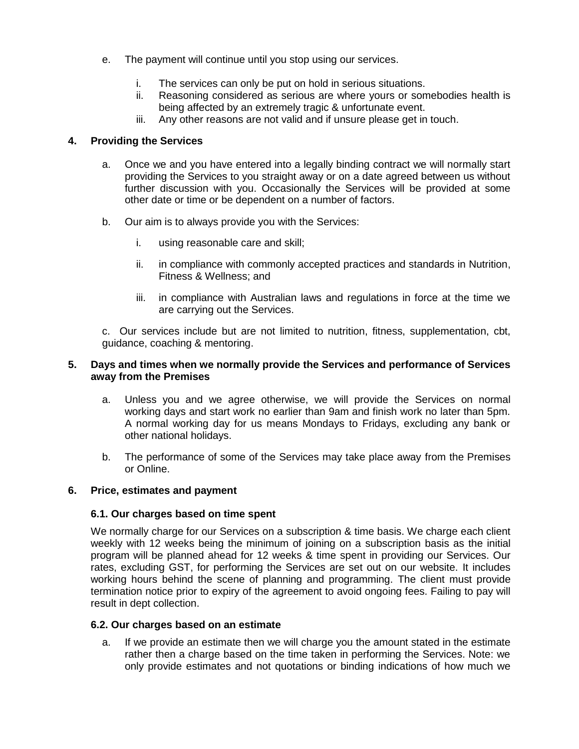- e. The payment will continue until you stop using our services.
	- i. The services can only be put on hold in serious situations.
	- ii. Reasoning considered as serious are where yours or somebodies health is being affected by an extremely tragic & unfortunate event.
	- iii. Any other reasons are not valid and if unsure please get in touch.

# **4. Providing the Services**

- a. Once we and you have entered into a legally binding contract we will normally start providing the Services to you straight away or on a date agreed between us without further discussion with you. Occasionally the Services will be provided at some other date or time or be dependent on a number of factors.
- b. Our aim is to always provide you with the Services:
	- i. using reasonable care and skill;
	- ii. in compliance with commonly accepted practices and standards in Nutrition, Fitness & Wellness; and
	- iii. in compliance with Australian laws and regulations in force at the time we are carrying out the Services.

c. Our services include but are not limited to nutrition, fitness, supplementation, cbt, guidance, coaching & mentoring.

## **5. Days and times when we normally provide the Services and performance of Services away from the Premises**

- a. Unless you and we agree otherwise, we will provide the Services on normal working days and start work no earlier than 9am and finish work no later than 5pm. A normal working day for us means Mondays to Fridays, excluding any bank or other national holidays.
- b. The performance of some of the Services may take place away from the Premises or Online.

## **6. Price, estimates and payment**

## **6.1. Our charges based on time spent**

We normally charge for our Services on a subscription & time basis. We charge each client weekly with 12 weeks being the minimum of joining on a subscription basis as the initial program will be planned ahead for 12 weeks & time spent in providing our Services. Our rates, excluding GST, for performing the Services are set out on our website. It includes working hours behind the scene of planning and programming. The client must provide termination notice prior to expiry of the agreement to avoid ongoing fees. Failing to pay will result in dept collection.

### **6.2. Our charges based on an estimate**

a. If we provide an estimate then we will charge you the amount stated in the estimate rather then a charge based on the time taken in performing the Services. Note: we only provide estimates and not quotations or binding indications of how much we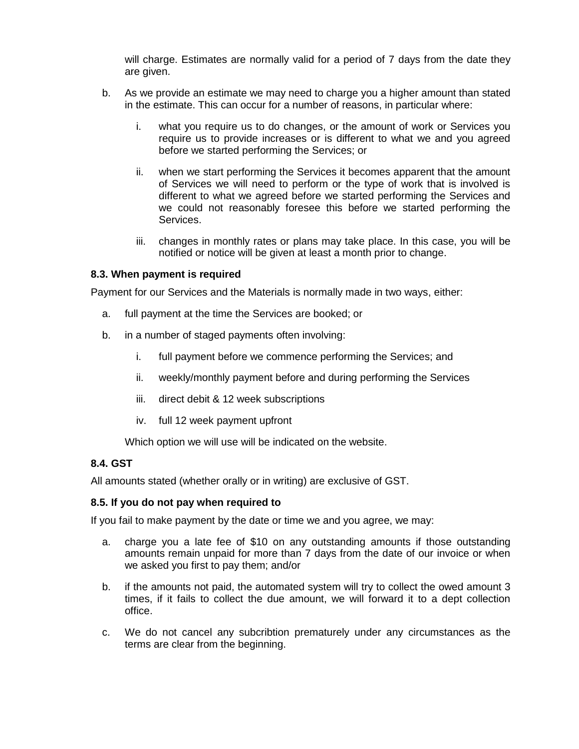will charge. Estimates are normally valid for a period of 7 days from the date they are given.

- b. As we provide an estimate we may need to charge you a higher amount than stated in the estimate. This can occur for a number of reasons, in particular where:
	- i. what you require us to do changes, or the amount of work or Services you require us to provide increases or is different to what we and you agreed before we started performing the Services; or
	- ii. when we start performing the Services it becomes apparent that the amount of Services we will need to perform or the type of work that is involved is different to what we agreed before we started performing the Services and we could not reasonably foresee this before we started performing the Services.
	- iii. changes in monthly rates or plans may take place. In this case, you will be notified or notice will be given at least a month prior to change.

### **8.3. When payment is required**

Payment for our Services and the Materials is normally made in two ways, either:

- a. full payment at the time the Services are booked; or
- b. in a number of staged payments often involving:
	- i. full payment before we commence performing the Services; and
	- ii. weekly/monthly payment before and during performing the Services
	- iii. direct debit & 12 week subscriptions
	- iv. full 12 week payment upfront

Which option we will use will be indicated on the website.

# **8.4. GST**

All amounts stated (whether orally or in writing) are exclusive of GST.

### **8.5. If you do not pay when required to**

If you fail to make payment by the date or time we and you agree, we may:

- a. charge you a late fee of \$10 on any outstanding amounts if those outstanding amounts remain unpaid for more than 7 days from the date of our invoice or when we asked you first to pay them; and/or
- b. if the amounts not paid, the automated system will try to collect the owed amount 3 times, if it fails to collect the due amount, we will forward it to a dept collection office.
- c. We do not cancel any subcribtion prematurely under any circumstances as the terms are clear from the beginning.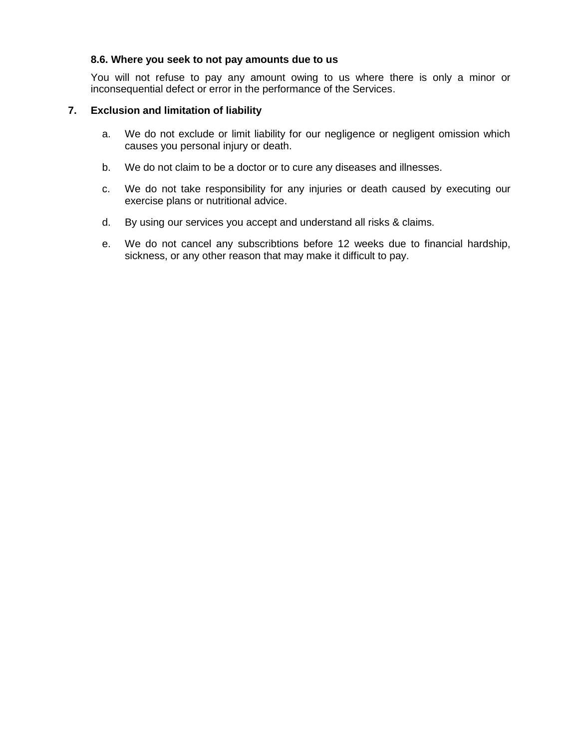### **8.6. Where you seek to not pay amounts due to us**

You will not refuse to pay any amount owing to us where there is only a minor or inconsequential defect or error in the performance of the Services.

## **7. Exclusion and limitation of liability**

- a. We do not exclude or limit liability for our negligence or negligent omission which causes you personal injury or death.
- b. We do not claim to be a doctor or to cure any diseases and illnesses.
- c. We do not take responsibility for any injuries or death caused by executing our exercise plans or nutritional advice.
- d. By using our services you accept and understand all risks & claims.
- e. We do not cancel any subscribtions before 12 weeks due to financial hardship, sickness, or any other reason that may make it difficult to pay.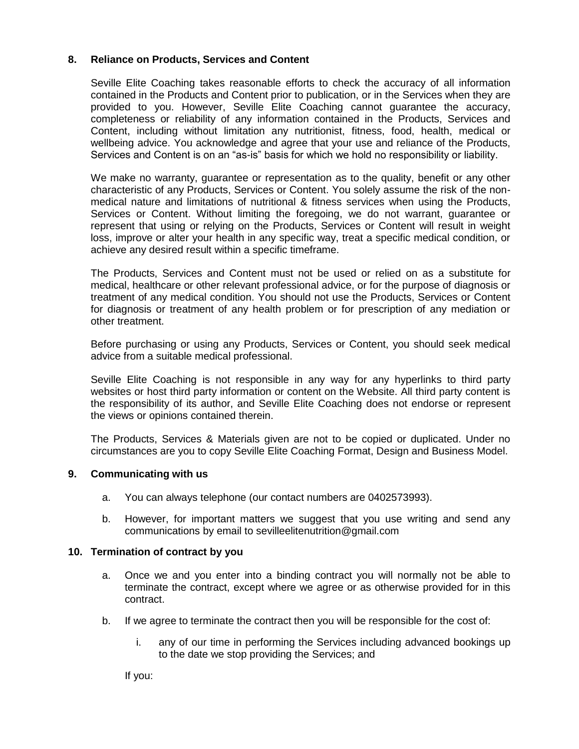## **8. Reliance on Products, Services and Content**

Seville Elite Coaching takes reasonable efforts to check the accuracy of all information contained in the Products and Content prior to publication, or in the Services when they are provided to you. However, Seville Elite Coaching cannot guarantee the accuracy, completeness or reliability of any information contained in the Products, Services and Content, including without limitation any nutritionist, fitness, food, health, medical or wellbeing advice. You acknowledge and agree that your use and reliance of the Products, Services and Content is on an "as-is" basis for which we hold no responsibility or liability.

We make no warranty, guarantee or representation as to the quality, benefit or any other characteristic of any Products, Services or Content. You solely assume the risk of the nonmedical nature and limitations of nutritional & fitness services when using the Products, Services or Content. Without limiting the foregoing, we do not warrant, guarantee or represent that using or relying on the Products, Services or Content will result in weight loss, improve or alter your health in any specific way, treat a specific medical condition, or achieve any desired result within a specific timeframe.

The Products, Services and Content must not be used or relied on as a substitute for medical, healthcare or other relevant professional advice, or for the purpose of diagnosis or treatment of any medical condition. You should not use the Products, Services or Content for diagnosis or treatment of any health problem or for prescription of any mediation or other treatment.

Before purchasing or using any Products, Services or Content, you should seek medical advice from a suitable medical professional.

Seville Elite Coaching is not responsible in any way for any hyperlinks to third party websites or host third party information or content on the Website. All third party content is the responsibility of its author, and Seville Elite Coaching does not endorse or represent the views or opinions contained therein.

The Products, Services & Materials given are not to be copied or duplicated. Under no circumstances are you to copy Seville Elite Coaching Format, Design and Business Model.

### **9. Communicating with us**

- a. You can always telephone (our contact numbers are 0402573993).
- b. However, for important matters we suggest that you use writing and send any communications by email to sevilleelitenutrition@gmail.com

### **10. Termination of contract by you**

- a. Once we and you enter into a binding contract you will normally not be able to terminate the contract, except where we agree or as otherwise provided for in this contract.
- b. If we agree to terminate the contract then you will be responsible for the cost of:
	- i. any of our time in performing the Services including advanced bookings up to the date we stop providing the Services; and

If you: